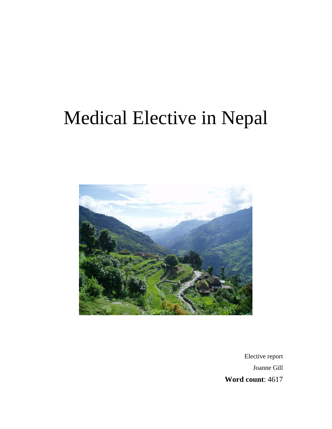# Medical Elective in Nepal



Elective report Joanne Gill **Word count**: 4617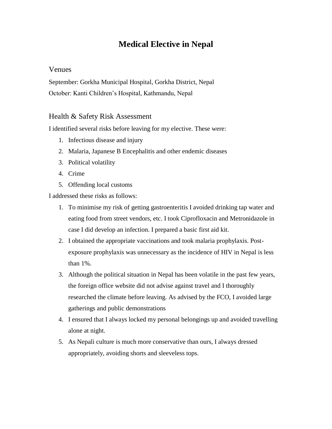# **Medical Elective in Nepal**

## Venues

September: Gorkha Municipal Hospital, Gorkha District, Nepal October: Kanti Children's Hospital, Kathmandu, Nepal

## Health & Safety Risk Assessment

I identified several risks before leaving for my elective. These were:

- 1. Infectious disease and injury
- 2. Malaria, Japanese B Encephalitis and other endemic diseases
- 3. Political volatility
- 4. Crime
- 5. Offending local customs

I addressed these risks as follows:

- 1. To minimise my risk of getting gastroenteritis I avoided drinking tap water and eating food from street vendors, etc. I took Ciprofloxacin and Metronidazole in case I did develop an infection. I prepared a basic first aid kit.
- 2. I obtained the appropriate vaccinations and took malaria prophylaxis. Postexposure prophylaxis was unnecessary as the incidence of HIV in Nepal is less than 1%.
- 3. Although the political situation in Nepal has been volatile in the past few years, the foreign office website did not advise against travel and I thoroughly researched the climate before leaving. As advised by the FCO, I avoided large gatherings and public demonstrations
- 4. I ensured that I always locked my personal belongings up and avoided travelling alone at night.
- 5. As Nepali culture is much more conservative than ours, I always dressed appropriately, avoiding shorts and sleeveless tops.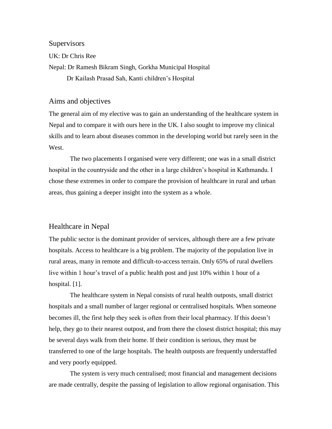**Supervisors** 

UK: Dr Chris Ree

Nepal: Dr Ramesh Bikram Singh, Gorkha Municipal Hospital

Dr Kailash Prasad Sah, Kanti children's Hospital

## Aims and objectives

The general aim of my elective was to gain an understanding of the healthcare system in Nepal and to compare it with ours here in the UK. I also sought to improve my clinical skills and to learn about diseases common in the developing world but rarely seen in the West.

 The two placements I organised were very different; one was in a small district hospital in the countryside and the other in a large children's hospital in Kathmandu. I chose these extremes in order to compare the provision of healthcare in rural and urban areas, thus gaining a deeper insight into the system as a whole.

## Healthcare in Nepal

The public sector is the dominant provider of services, although there are a few private hospitals. Access to healthcare is a big problem. The majority of the population live in rural areas, many in remote and difficult-to-access terrain. Only 65% of rural dwellers live within 1 hour's travel of a public health post and just 10% within 1 hour of a hospital. [1].

 The healthcare system in Nepal consists of rural health outposts, small district hospitals and a small number of larger regional or centralised hospitals. When someone becomes ill, the first help they seek is often from their local pharmacy. If this doesn't help, they go to their nearest outpost, and from there the closest district hospital; this may be several days walk from their home. If their condition is serious, they must be transferred to one of the large hospitals. The health outposts are frequently understaffed and very poorly equipped.

 The system is very much centralised; most financial and management decisions are made centrally, despite the passing of legislation to allow regional organisation. This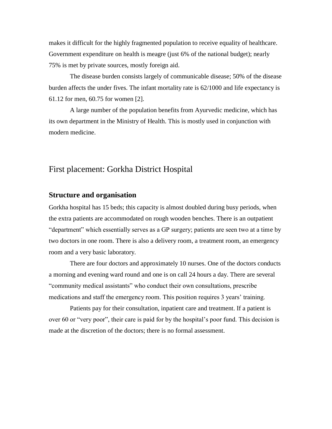makes it difficult for the highly fragmented population to receive equality of healthcare. Government expenditure on health is meagre (just 6% of the national budget); nearly 75% is met by private sources, mostly foreign aid.

 The disease burden consists largely of communicable disease; 50% of the disease burden affects the under fives. The infant mortality rate is 62/1000 and life expectancy is 61.12 for men, 60.75 for women [2].

 A large number of the population benefits from Ayurvedic medicine, which has its own department in the Ministry of Health. This is mostly used in conjunction with modern medicine.

## First placement: Gorkha District Hospital

#### **Structure and organisation**

Gorkha hospital has 15 beds; this capacity is almost doubled during busy periods, when the extra patients are accommodated on rough wooden benches. There is an outpatient "department" which essentially serves as a GP surgery; patients are seen two at a time by two doctors in one room. There is also a delivery room, a treatment room, an emergency room and a very basic laboratory.

 There are four doctors and approximately 10 nurses. One of the doctors conducts a morning and evening ward round and one is on call 24 hours a day. There are several "community medical assistants" who conduct their own consultations, prescribe medications and staff the emergency room. This position requires 3 years' training.

 Patients pay for their consultation, inpatient care and treatment. If a patient is over 60 or "very poor", their care is paid for by the hospital's poor fund. This decision is made at the discretion of the doctors; there is no formal assessment.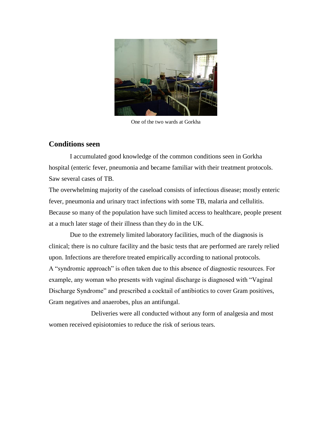

One of the two wards at Gorkha

## **Conditions seen**

 I accumulated good knowledge of the common conditions seen in Gorkha hospital (enteric fever, pneumonia and became familiar with their treatment protocols. Saw several cases of TB.

The overwhelming majority of the caseload consists of infectious disease; mostly enteric fever, pneumonia and urinary tract infections with some TB, malaria and cellulitis. Because so many of the population have such limited access to healthcare, people present at a much later stage of their illness than they do in the UK.

 Due to the extremely limited laboratory facilities, much of the diagnosis is clinical; there is no culture facility and the basic tests that are performed are rarely relied upon. Infections are therefore treated empirically according to national protocols. A "syndromic approach" is often taken due to this absence of diagnostic resources. For example, any woman who presents with vaginal discharge is diagnosed with "Vaginal Discharge Syndrome" and prescribed a cocktail of antibiotics to cover Gram positives, Gram negatives and anaerobes, plus an antifungal.

 Deliveries were all conducted without any form of analgesia and most women received episiotomies to reduce the risk of serious tears.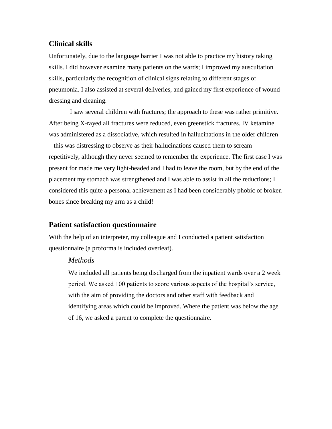## **Clinical skills**

Unfortunately, due to the language barrier I was not able to practice my history taking skills. I did however examine many patients on the wards; I improved my auscultation skills, particularly the recognition of clinical signs relating to different stages of pneumonia. I also assisted at several deliveries, and gained my first experience of wound dressing and cleaning.

 I saw several children with fractures; the approach to these was rather primitive. After being X-rayed all fractures were reduced, even greenstick fractures. IV ketamine was administered as a dissociative, which resulted in hallucinations in the older children – this was distressing to observe as their hallucinations caused them to scream repetitively, although they never seemed to remember the experience. The first case I was present for made me very light-headed and I had to leave the room, but by the end of the placement my stomach was strengthened and I was able to assist in all the reductions; I considered this quite a personal achievement as I had been considerably phobic of broken bones since breaking my arm as a child!

## **Patient satisfaction questionnaire**

With the help of an interpreter, my colleague and I conducted a patient satisfaction questionnaire (a proforma is included overleaf).

## *Methods*

We included all patients being discharged from the inpatient wards over a 2 week period. We asked 100 patients to score various aspects of the hospital's service, with the aim of providing the doctors and other staff with feedback and identifying areas which could be improved. Where the patient was below the age of 16, we asked a parent to complete the questionnaire.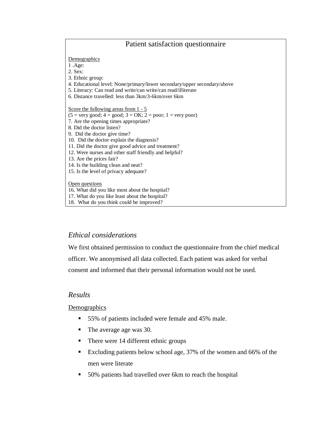## Patient satisfaction questionnaire

**Demographics** 

1 .Age:

2. Sex:

- 3. Ethnic group:
- 4. Educational level: None/primary/lower secondary/upper secondary/above
- 5. Literacy: Can read and write/can write/can read/illiterate
- 6. Distance travelled: less than 3km/3-6km/over 6km

Score the following areas from  $1 - 5$ 

- $(5 = \text{very good}; 4 = \text{good}; 3 = \text{OK}; 2 = \text{poor}; 1 = \text{very poor})$
- 7. Are the opening times appropriate?
- 8. Did the doctor listen?
- 9. Did the doctor give time?
- 10. Did the doctor explain the diagnosis?
- 11. Did the doctor give good advice and treatment?
- 12. Were nurses and other staff friendly and helpful?
- 13. Are the prices fair?
- 14. Is the building clean and neat?
- 15. Is the level of privacy adequate?

#### Open questions

16. What did you like most about the hospital?

- 17. What do you like least about the hospital?
- 18. What do you think could be improved?

## *Ethical considerations*

We first obtained permission to conduct the questionnaire from the chief medical officer. We anonymised all data collected. Each patient was asked for verbal consent and informed that their personal information would not be used.

## *Results*

**Demographics** 

- 55% of patients included were female and 45% male.
- The average age was 30.
- There were 14 different ethnic groups
- Excluding patients below school age, 37% of the women and 66% of the men were literate
- 50% patients had travelled over 6km to reach the hospital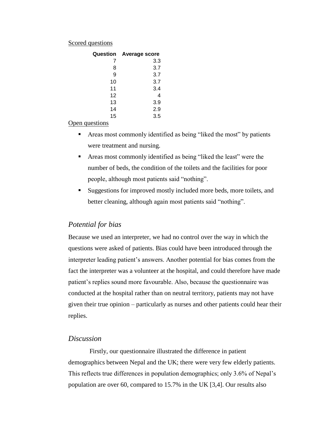#### Scored questions

| Question | <b>Average score</b> |
|----------|----------------------|
| 7        | 3.3                  |
| 8        | 3.7                  |
| 9        | 3.7                  |
| 10       | 3.7                  |
| 11       | 3.4                  |
| 12       | 4                    |
| 13       | 3.9                  |
| 14       | 2.9                  |
| 15       | 3.5                  |

#### Open questions

- Areas most commonly identified as being "liked the most" by patients were treatment and nursing.
- Areas most commonly identified as being "liked the least" were the number of beds, the condition of the toilets and the facilities for poor people, although most patients said "nothing".
- Suggestions for improved mostly included more beds, more toilets, and better cleaning, although again most patients said "nothing".

## *Potential for bias*

Because we used an interpreter, we had no control over the way in which the questions were asked of patients. Bias could have been introduced through the interpreter leading patient's answers. Another potential for bias comes from the fact the interpreter was a volunteer at the hospital, and could therefore have made patient's replies sound more favourable. Also, because the questionnaire was conducted at the hospital rather than on neutral territory, patients may not have given their true opinion – particularly as nurses and other patients could hear their replies.

## *Discussion*

 Firstly, our questionnaire illustrated the difference in patient demographics between Nepal and the UK; there were very few elderly patients. This reflects true differences in population demographics; only 3.6% of Nepal's population are over 60, compared to 15.7% in the UK [3,4]. Our results also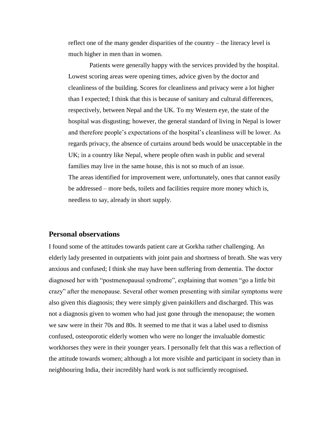reflect one of the many gender disparities of the country – the literacy level is much higher in men than in women.

 Patients were generally happy with the services provided by the hospital. Lowest scoring areas were opening times, advice given by the doctor and cleanliness of the building. Scores for cleanliness and privacy were a lot higher than I expected; I think that this is because of sanitary and cultural differences, respectively, between Nepal and the UK. To my Western eye, the state of the hospital was disgusting; however, the general standard of living in Nepal is lower and therefore people's expectations of the hospital's cleanliness will be lower. As regards privacy, the absence of curtains around beds would be unacceptable in the UK; in a country like Nepal, where people often wash in public and several families may live in the same house, this is not so much of an issue. The areas identified for improvement were, unfortunately, ones that cannot easily be addressed – more beds, toilets and facilities require more money which is, needless to say, already in short supply.

#### **Personal observations**

I found some of the attitudes towards patient care at Gorkha rather challenging. An elderly lady presented in outpatients with joint pain and shortness of breath. She was very anxious and confused; I think she may have been suffering from dementia. The doctor diagnosed her with "postmenopausal syndrome", explaining that women "go a little bit crazy" after the menopause. Several other women presenting with similar symptoms were also given this diagnosis; they were simply given painkillers and discharged. This was not a diagnosis given to women who had just gone through the menopause; the women we saw were in their 70s and 80s. It seemed to me that it was a label used to dismiss confused, osteoporotic elderly women who were no longer the invaluable domestic workhorses they were in their younger years. I personally felt that this was a reflection of the attitude towards women; although a lot more visible and participant in society than in neighbouring India, their incredibly hard work is not sufficiently recognised.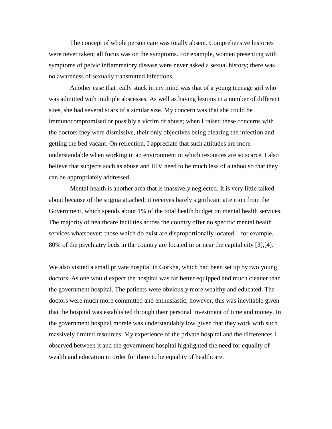The concept of whole person care was totally absent. Comprehensive histories were never taken; all focus was on the symptoms. For example, women presenting with symptoms of pelvic inflammatory disease were never asked a sexual history; there was no awareness of sexually transmitted infections.

 Another case that really stuck in my mind was that of a young teenage girl who was admitted with multiple abscesses. As well as having lesions in a number of different sites, she had several scars of a similar size. My concern was that she could be immunocompromised or possibly a victim of abuse; when I raised these concerns with the doctors they were dismissive, their only objectives being clearing the infection and getting the bed vacant. On reflection, I appreciate that such attitudes are more understandable when working in an environment in which resources are so scarce. I also believe that subjects such as abuse and HIV need to be much less of a taboo so that they can be appropriately addressed.

 Mental health is another area that is massively neglected. It is very little talked about because of the stigma attached; it receives barely significant attention from the Government, which spends about 1% of the total health budget on mental health services. The majority of healthcare facilities across the country offer no specific mental health services whatsoever; those which do exist are disproportionally located – for example, 80% of the psychiatry beds in the country are located in or near the capital city [3],[4].

We also visited a small private hospital in Gorkha, which had been set up by two young doctors. As one would expect the hospital was far better equipped and much cleaner than the government hospital. The patients were obviously more wealthy and educated. The doctors were much more committed and enthusiastic; however, this was inevitable given that the hospital was established through their personal investment of time and money. In the government hospital morale was understandably low given that they work with such massively limited resources. My experience of the private hospital and the differences I observed between it and the government hospital highlighted the need for equality of wealth and education in order for there to be equality of healthcare.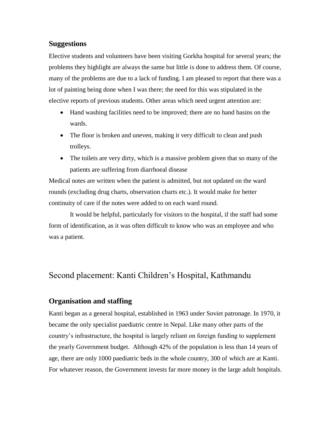## **Suggestions**

Elective students and volunteers have been visiting Gorkha hospital for several years; the problems they highlight are always the same but little is done to address them. Of course, many of the problems are due to a lack of funding. I am pleased to report that there was a lot of painting being done when I was there; the need for this was stipulated in the elective reports of previous students. Other areas which need urgent attention are:

- Hand washing facilities need to be improved; there are no hand basins on the wards.
- The floor is broken and uneven, making it very difficult to clean and push trolleys.
- The toilets are very dirty, which is a massive problem given that so many of the patients are suffering from diarrhoeal disease

Medical notes are written when the patient is admitted, but not updated on the ward rounds (excluding drug charts, observation charts etc.). It would make for better continuity of care if the notes were added to on each ward round.

 It would be helpful, particularly for visitors to the hospital, if the staff had some form of identification, as it was often difficult to know who was an employee and who was a patient.

# Second placement: Kanti Children's Hospital, Kathmandu

## **Organisation and staffing**

Kanti began as a general hospital, established in 1963 under Soviet patronage. In 1970, it became the only specialist paediatric centre in Nepal. Like many other parts of the country's infrastructure, the hospital is largely reliant on foreign funding to supplement the yearly Government budget. Although 42% of the population is less than 14 years of age, there are only 1000 paediatric beds in the whole country, 300 of which are at Kanti. For whatever reason, the Government invests far more money in the large adult hospitals.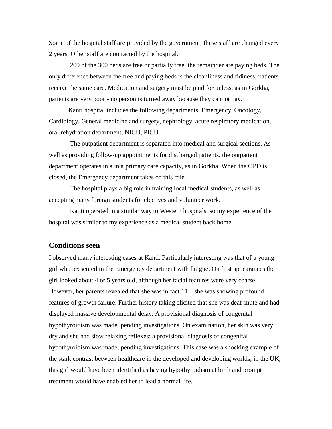Some of the hospital staff are provided by the government; these staff are changed every 2 years. Other staff are contracted by the hospital.

 209 of the 300 beds are free or partially free, the remainder are paying beds. The only difference between the free and paying beds is the cleanliness and tidiness; patients receive the same care. Medication and surgery must be paid for unless, as in Gorkha, patients are very poor - no person is turned away because they cannot pay.

 Kanti hospital includes the following departments: Emergency, Oncology, Cardiology, General medicine and surgery, nephrology, acute respiratory medication, oral rehydration department, NICU, PICU.

 The outpatient department is separated into medical and surgical sections. As well as providing follow-up appointments for discharged patients, the outpatient department operates in a in a primary care capacity, as in Gorkha. When the OPD is closed, the Emergency department takes on this role.

 The hospital plays a big role in training local medical students, as well as accepting many foreign students for electives and volunteer work.

 Kanti operated in a similar way to Western hospitals, so my experience of the hospital was similar to my experience as a medical student back home.

## **Conditions seen**

I observed many interesting cases at Kanti. Particularly interesting was that of a young girl who presented in the Emergency department with fatigue. On first appearances the girl looked about 4 or 5 years old, although her facial features were very coarse. However, her parents revealed that she was in fact  $11 -$  she was showing profound features of growth failure. Further history taking elicited that she was deaf-mute and had displayed massive developmental delay. A provisional diagnosis of congenital hypothyroidism was made, pending investigations. On examination, her skin was very dry and she had slow relaxing reflexes; a provisional diagnosis of congenital hypothyroidism was made, pending investigations. This case was a shocking example of the stark contrast between healthcare in the developed and developing worlds; in the UK, this girl would have been identified as having hypothyroidism at birth and prompt treatment would have enabled her to lead a normal life.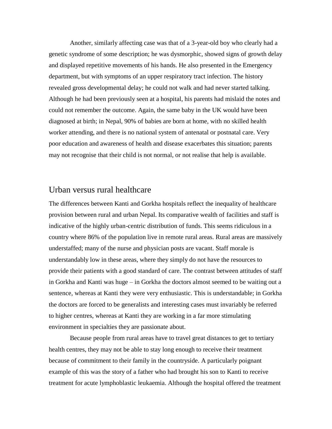Another, similarly affecting case was that of a 3-year-old boy who clearly had a genetic syndrome of some description; he was dysmorphic, showed signs of growth delay and displayed repetitive movements of his hands. He also presented in the Emergency department, but with symptoms of an upper respiratory tract infection. The history revealed gross developmental delay; he could not walk and had never started talking. Although he had been previously seen at a hospital, his parents had mislaid the notes and could not remember the outcome. Again, the same baby in the UK would have been diagnosed at birth; in Nepal, 90% of babies are born at home, with no skilled health worker attending, and there is no national system of antenatal or postnatal care. Very poor education and awareness of health and disease exacerbates this situation; parents may not recognise that their child is not normal, or not realise that help is available.

## Urban versus rural healthcare

The differences between Kanti and Gorkha hospitals reflect the inequality of healthcare provision between rural and urban Nepal. Its comparative wealth of facilities and staff is indicative of the highly urban-centric distribution of funds. This seems ridiculous in a country where 86% of the population live in remote rural areas. Rural areas are massively understaffed; many of the nurse and physician posts are vacant. Staff morale is understandably low in these areas, where they simply do not have the resources to provide their patients with a good standard of care. The contrast between attitudes of staff in Gorkha and Kanti was huge – in Gorkha the doctors almost seemed to be waiting out a sentence, whereas at Kanti they were very enthusiastic. This is understandable; in Gorkha the doctors are forced to be generalists and interesting cases must invariably be referred to higher centres, whereas at Kanti they are working in a far more stimulating environment in specialties they are passionate about.

 Because people from rural areas have to travel great distances to get to tertiary health centres, they may not be able to stay long enough to receive their treatment because of commitment to their family in the countryside. A particularly poignant example of this was the story of a father who had brought his son to Kanti to receive treatment for acute lymphoblastic leukaemia. Although the hospital offered the treatment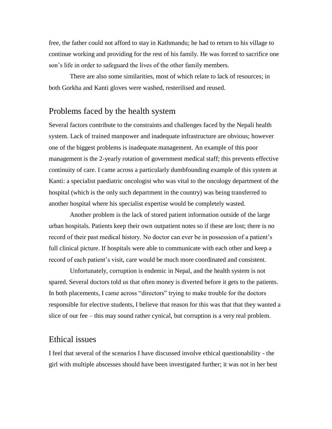free, the father could not afford to stay in Kathmandu; he had to return to his village to continue working and providing for the rest of his family. He was forced to sacrifice one son's life in order to safeguard the lives of the other family members.

 There are also some similarities, most of which relate to lack of resources; in both Gorkha and Kanti gloves were washed, resterilised and reused.

## Problems faced by the health system

Several factors contribute to the constraints and challenges faced by the Nepali health system. Lack of trained manpower and inadequate infrastructure are obvious; however one of the biggest problems is inadequate management. An example of this poor management is the 2-yearly rotation of government medical staff; this prevents effective continuity of care. I came across a particularly dumbfounding example of this system at Kanti: a specialist paediatric oncologist who was vital to the oncology department of the hospital (which is the only such department in the country) was being transferred to another hospital where his specialist expertise would be completely wasted.

 Another problem is the lack of stored patient information outside of the large urban hospitals. Patients keep their own outpatient notes so if these are lost; there is no record of their past medical history. No doctor can ever be in possession of a patient's full clinical picture. If hospitals were able to communicate with each other and keep a record of each patient's visit, care would be much more coordinated and consistent.

 Unfortunately, corruption is endemic in Nepal, and the health system is not spared. Several doctors told us that often money is diverted before it gets to the patients. In both placements, I came across "directors" trying to make trouble for the doctors responsible for elective students, I believe that reason for this was that that they wanted a slice of our fee – this may sound rather cynical, but corruption is a very real problem.

## Ethical issues

I feel that several of the scenarios I have discussed involve ethical questionability - the girl with multiple abscesses should have been investigated further; it was not in her best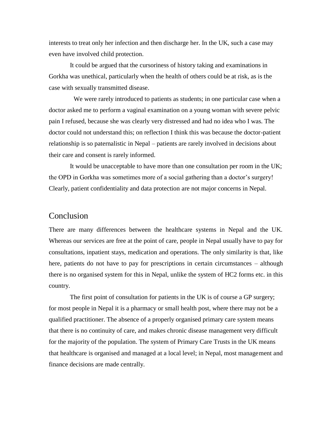interests to treat only her infection and then discharge her. In the UK, such a case may even have involved child protection.

 It could be argued that the cursoriness of history taking and examinations in Gorkha was unethical, particularly when the health of others could be at risk, as is the case with sexually transmitted disease.

 We were rarely introduced to patients as students; in one particular case when a doctor asked me to perform a vaginal examination on a young woman with severe pelvic pain I refused, because she was clearly very distressed and had no idea who I was. The doctor could not understand this; on reflection I think this was because the doctor-patient relationship is so paternalistic in Nepal – patients are rarely involved in decisions about their care and consent is rarely informed.

 It would be unacceptable to have more than one consultation per room in the UK; the OPD in Gorkha was sometimes more of a social gathering than a doctor's surgery! Clearly, patient confidentiality and data protection are not major concerns in Nepal.

## Conclusion

There are many differences between the healthcare systems in Nepal and the UK. Whereas our services are free at the point of care, people in Nepal usually have to pay for consultations, inpatient stays, medication and operations. The only similarity is that, like here, patients do not have to pay for prescriptions in certain circumstances – although there is no organised system for this in Nepal, unlike the system of HC2 forms etc. in this country.

 The first point of consultation for patients in the UK is of course a GP surgery; for most people in Nepal it is a pharmacy or small health post, where there may not be a qualified practitioner. The absence of a properly organised primary care system means that there is no continuity of care, and makes chronic disease management very difficult for the majority of the population. The system of Primary Care Trusts in the UK means that healthcare is organised and managed at a local level; in Nepal, most management and finance decisions are made centrally.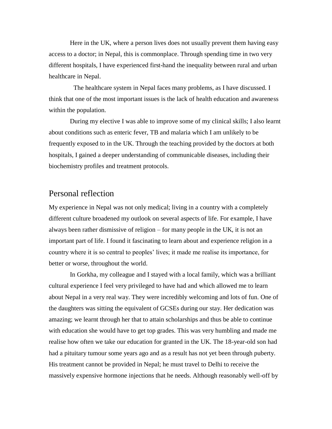Here in the UK, where a person lives does not usually prevent them having easy access to a doctor; in Nepal, this is commonplace. Through spending time in two very different hospitals, I have experienced first-hand the inequality between rural and urban healthcare in Nepal.

 The healthcare system in Nepal faces many problems, as I have discussed. I think that one of the most important issues is the lack of health education and awareness within the population.

 During my elective I was able to improve some of my clinical skills; I also learnt about conditions such as enteric fever, TB and malaria which I am unlikely to be frequently exposed to in the UK. Through the teaching provided by the doctors at both hospitals, I gained a deeper understanding of communicable diseases, including their biochemistry profiles and treatment protocols.

## Personal reflection

My experience in Nepal was not only medical; living in a country with a completely different culture broadened my outlook on several aspects of life. For example, I have always been rather dismissive of religion – for many people in the UK, it is not an important part of life. I found it fascinating to learn about and experience religion in a country where it is so central to peoples' lives; it made me realise its importance, for better or worse, throughout the world.

 In Gorkha, my colleague and I stayed with a local family, which was a brilliant cultural experience I feel very privileged to have had and which allowed me to learn about Nepal in a very real way. They were incredibly welcoming and lots of fun. One of the daughters was sitting the equivalent of GCSEs during our stay. Her dedication was amazing; we learnt through her that to attain scholarships and thus be able to continue with education she would have to get top grades. This was very humbling and made me realise how often we take our education for granted in the UK. The 18-year-old son had had a pituitary tumour some years ago and as a result has not yet been through puberty. His treatment cannot be provided in Nepal; he must travel to Delhi to receive the massively expensive hormone injections that he needs. Although reasonably well-off by